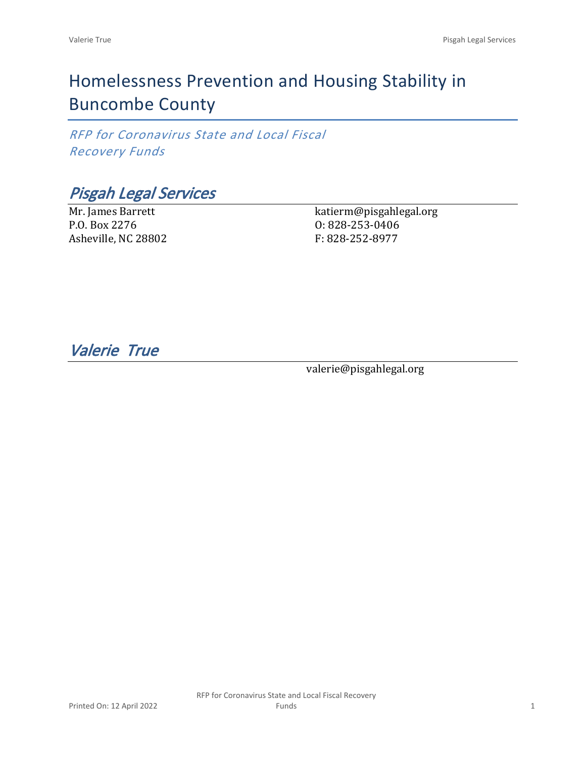# Homelessness Prevention and Housing Stability in Buncombe County

*RFP for Coronavirus State and Local Fiscal Recovery Funds*

*Pisgah Legal Services*

Mr. James Barrett P.O. Box 2276 Asheville, NC 28802 katierm@pisgahlegal.org O: 828-253-0406 F: 828-252-8977

*Valerie True* 

valerie@pisgahlegal.org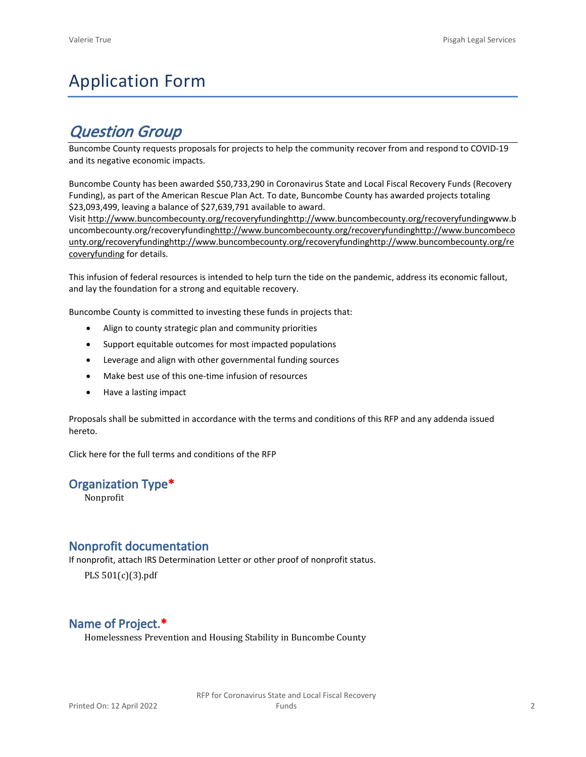# Application Form

## *Question Group*

Buncombe County requests proposals for projects to help the community recover from and respond to COVID-19 and its negative economic impacts.

Buncombe County has been awarded \$50,733,290 in Coronavirus State and Local Fiscal Recovery Funds (Recovery Funding), as part of the American Rescue Plan Act. To date, Buncombe County has awarded projects totaling \$23,093,499, leaving a balance of \$27,639,791 available to award.

Visit [http://www.buncombecounty.org/recoveryfundinghttp://www.buncombecounty.org/recoveryfundingwww.b](http://www.buncombecounty.org/recoveryfunding) [uncombecounty.org/recoveryfundinghttp://www.buncombecounty.org/recoveryfundinghttp://www.buncombeco](http://www.buncombecounty.org/recoveryfunding) [unty.org/recoveryfundinghttp://www.buncombecounty.org/recoveryfundinghttp://www.buncombecounty.org/re](http://www.buncombecounty.org/recoveryfunding) [coveryfunding](http://www.buncombecounty.org/recoveryfunding) for details.

This infusion of federal resources is intended to help turn the tide on the pandemic, address its economic fallout, and lay the foundation for a strong and equitable recovery.

Buncombe County is committed to investing these funds in projects that:

- Align to county strategic plan and community priorities
- Support equitable outcomes for most impacted populations
- Leverage and align with other governmental funding sources
- Make best use of this one-time infusion of resources
- Have a lasting impact

Proposals shall be submitted in accordance with the terms and conditions of this RFP and any addenda issued hereto.

Click [here](https://www.buncombecounty.org/common/purchasing/Buncombe%20Recovery%20Funding%20RFP%202022.pdf) for the full terms and conditions of the RFP

## **Organization Type\***

Nonprofit

## **Nonprofit documentation**

If nonprofit, attach IRS Determination Letter or other proof of nonprofit status.

PLS 501(c)(3).pdf

## **Name of Project.\***

Homelessness Prevention and Housing Stability in Buncombe County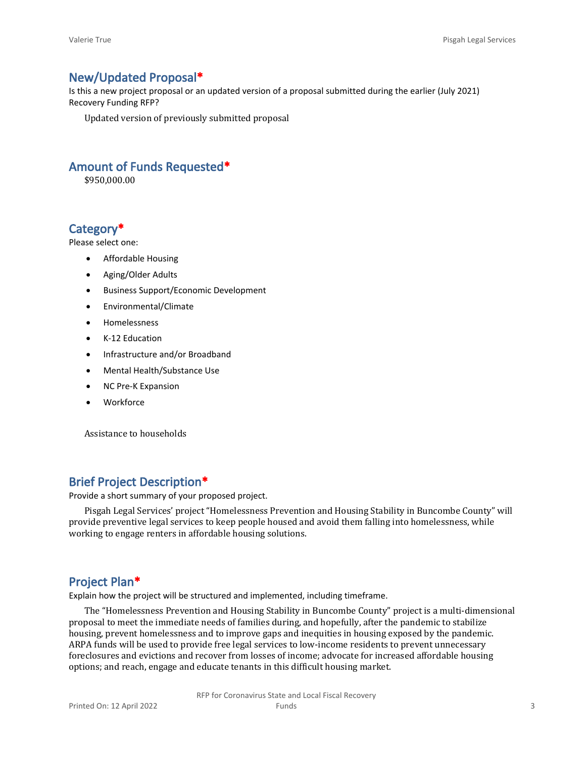## **New/Updated Proposal\***

Is this a new project proposal or an updated version of a proposal submitted during the earlier (July 2021) Recovery Funding RFP?

Updated version of previously submitted proposal

## **Amount of Funds Requested\***

\$950,000.00

## **Category\***

Please select one:

- Affordable Housing
- Aging/Older Adults
- Business Support/Economic Development
- Environmental/Climate
- Homelessness
- K-12 Education
- Infrastructure and/or Broadband
- Mental Health/Substance Use
- NC Pre-K Expansion
- Workforce

Assistance to households

## **Brief Project Description\***

Provide a short summary of your proposed project.

Pisgah Legal Services' project "Homelessness Prevention and Housing Stability in Buncombe County" will provide preventive legal services to keep people housed and avoid them falling into homelessness, while working to engage renters in affordable housing solutions.

## **Project Plan\***

Explain how the project will be structured and implemented, including timeframe.

The "Homelessness Prevention and Housing Stability in Buncombe County" project is a multi-dimensional proposal to meet the immediate needs of families during, and hopefully, after the pandemic to stabilize housing, prevent homelessness and to improve gaps and inequities in housing exposed by the pandemic. ARPA funds will be used to provide free legal services to low-income residents to prevent unnecessary foreclosures and evictions and recover from losses of income; advocate for increased affordable housing options; and reach, engage and educate tenants in this difficult housing market.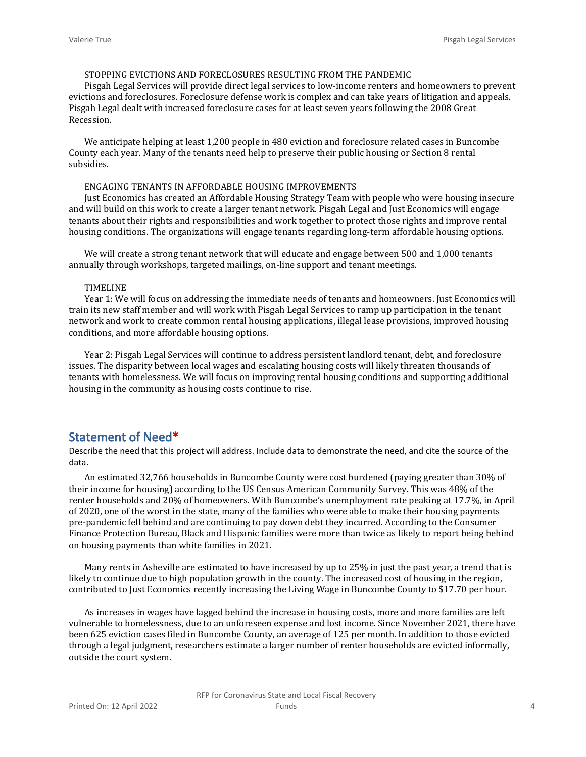#### STOPPING EVICTIONS AND FORECLOSURES RESULTING FROM THE PANDEMIC

Pisgah Legal Services will provide direct legal services to low-income renters and homeowners to prevent evictions and foreclosures. Foreclosure defense work is complex and can take years of litigation and appeals. Pisgah Legal dealt with increased foreclosure cases for at least seven years following the 2008 Great Recession.

We anticipate helping at least 1,200 people in 480 eviction and foreclosure related cases in Buncombe County each year. Many of the tenants need help to preserve their public housing or Section 8 rental subsidies.

#### ENGAGING TENANTS IN AFFORDABLE HOUSING IMPROVEMENTS

Just Economics has created an Affordable Housing Strategy Team with people who were housing insecure and will build on this work to create a larger tenant network. Pisgah Legal and Just Economics will engage tenants about their rights and responsibilities and work together to protect those rights and improve rental housing conditions. The organizations will engage tenants regarding long-term affordable housing options.

We will create a strong tenant network that will educate and engage between 500 and 1,000 tenants annually through workshops, targeted mailings, on-line support and tenant meetings.

#### TIMELINE

Year 1: We will focus on addressing the immediate needs of tenants and homeowners. Just Economics will train its new staff member and will work with Pisgah Legal Services to ramp up participation in the tenant network and work to create common rental housing applications, illegal lease provisions, improved housing conditions, and more affordable housing options.

Year 2: Pisgah Legal Services will continue to address persistent landlord tenant, debt, and foreclosure issues. The disparity between local wages and escalating housing costs will likely threaten thousands of tenants with homelessness. We will focus on improving rental housing conditions and supporting additional housing in the community as housing costs continue to rise.

## **Statement of Need\***

Describe the need that this project will address. Include data to demonstrate the need, and cite the source of the data.

An estimated 32,766 households in Buncombe County were cost burdened (paying greater than 30% of their income for housing) according to the US Census American Community Survey. This was 48% of the renter households and 20% of homeowners. With Buncombe's unemployment rate peaking at 17.7%, in April of 2020, one of the worst in the state, many of the families who were able to make their housing payments pre-pandemic fell behind and are continuing to pay down debt they incurred. According to the Consumer Finance Protection Bureau, Black and Hispanic families were more than twice as likely to report being behind on housing payments than white families in 2021.

Many rents in Asheville are estimated to have increased by up to 25% in just the past year, a trend that is likely to continue due to high population growth in the county. The increased cost of housing in the region, contributed to Just Economics recently increasing the Living Wage in Buncombe County to \$17.70 per hour.

As increases in wages have lagged behind the increase in housing costs, more and more families are left vulnerable to homelessness, due to an unforeseen expense and lost income. Since November 2021, there have been 625 eviction cases filed in Buncombe County, an average of 125 per month. In addition to those evicted through a legal judgment, researchers estimate a larger number of renter households are evicted informally, outside the court system.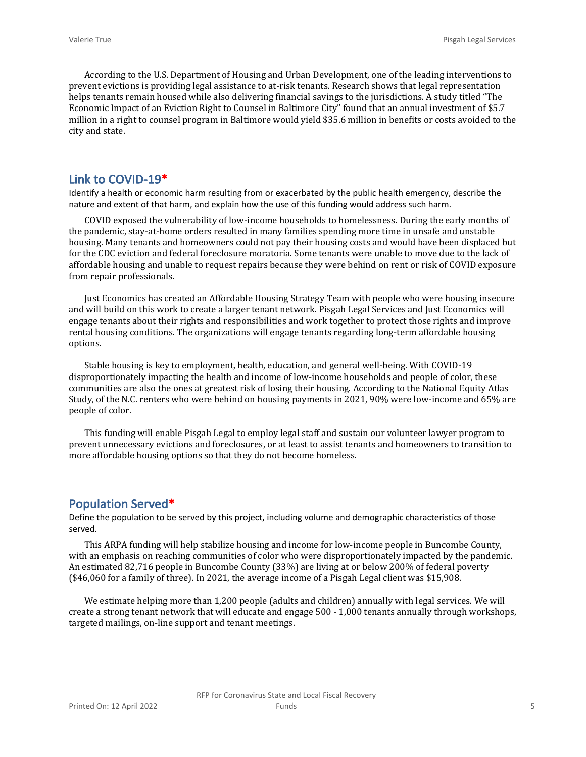According to the U.S. Department of Housing and Urban Development, one of the leading interventions to prevent evictions is providing legal assistance to at-risk tenants. Research shows that legal representation helps tenants remain housed while also delivering financial savings to the jurisdictions. A study titled "The Economic Impact of an Eviction Right to Counsel in Baltimore City" found that an annual investment of \$5.7 million in a right to counsel program in Baltimore would yield \$35.6 million in benefits or costs avoided to the city and state.

### **Link to COVID-19\***

Identify a health or economic harm resulting from or exacerbated by the public health emergency, describe the nature and extent of that harm, and explain how the use of this funding would address such harm.

COVID exposed the vulnerability of low-income households to homelessness. During the early months of the pandemic, stay-at-home orders resulted in many families spending more time in unsafe and unstable housing. Many tenants and homeowners could not pay their housing costs and would have been displaced but for the CDC eviction and federal foreclosure moratoria. Some tenants were unable to move due to the lack of affordable housing and unable to request repairs because they were behind on rent or risk of COVID exposure from repair professionals.

Just Economics has created an Affordable Housing Strategy Team with people who were housing insecure and will build on this work to create a larger tenant network. Pisgah Legal Services and Just Economics will engage tenants about their rights and responsibilities and work together to protect those rights and improve rental housing conditions. The organizations will engage tenants regarding long-term affordable housing options.

Stable housing is key to employment, health, education, and general well-being. With COVID-19 disproportionately impacting the health and income of low-income households and people of color, these communities are also the ones at greatest risk of losing their housing. According to the National Equity Atlas Study, of the N.C. renters who were behind on housing payments in 2021, 90% were low-income and 65% are people of color.

This funding will enable Pisgah Legal to employ legal staff and sustain our volunteer lawyer program to prevent unnecessary evictions and foreclosures, or at least to assist tenants and homeowners to transition to more affordable housing options so that they do not become homeless.

#### **Population Served\***

Define the population to be served by this project, including volume and demographic characteristics of those served.

This ARPA funding will help stabilize housing and income for low-income people in Buncombe County, with an emphasis on reaching communities of color who were disproportionately impacted by the pandemic. An estimated 82,716 people in Buncombe County (33%) are living at or below 200% of federal poverty (\$46,060 for a family of three). In 2021, the average income of a Pisgah Legal client was \$15,908.

We estimate helping more than 1,200 people (adults and children) annually with legal services. We will create a strong tenant network that will educate and engage 500 - 1,000 tenants annually through workshops, targeted mailings, on-line support and tenant meetings.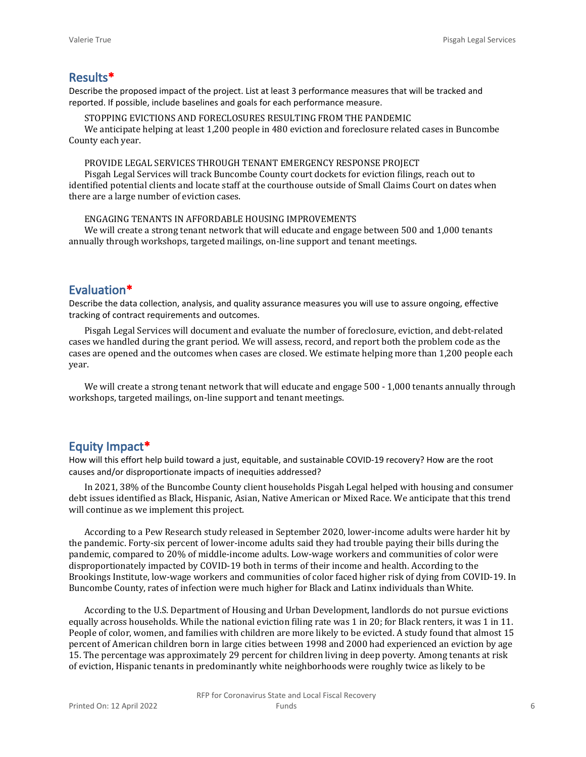### **Results\***

Describe the proposed impact of the project. List at least 3 performance measures that will be tracked and reported. If possible, include baselines and goals for each performance measure.

STOPPING EVICTIONS AND FORECLOSURES RESULTING FROM THE PANDEMIC

We anticipate helping at least 1,200 people in 480 eviction and foreclosure related cases in Buncombe County each year.

#### PROVIDE LEGAL SERVICES THROUGH TENANT EMERGENCY RESPONSE PROJECT

Pisgah Legal Services will track Buncombe County court dockets for eviction filings, reach out to identified potential clients and locate staff at the courthouse outside of Small Claims Court on dates when there are a large number of eviction cases.

#### ENGAGING TENANTS IN AFFORDABLE HOUSING IMPROVEMENTS

We will create a strong tenant network that will educate and engage between 500 and 1,000 tenants annually through workshops, targeted mailings, on-line support and tenant meetings.

## **Evaluation\***

Describe the data collection, analysis, and quality assurance measures you will use to assure ongoing, effective tracking of contract requirements and outcomes.

Pisgah Legal Services will document and evaluate the number of foreclosure, eviction, and debt-related cases we handled during the grant period. We will assess, record, and report both the problem code as the cases are opened and the outcomes when cases are closed. We estimate helping more than 1,200 people each year.

We will create a strong tenant network that will educate and engage 500 - 1,000 tenants annually through workshops, targeted mailings, on-line support and tenant meetings.

## **Equity Impact\***

How will this effort help build toward a just, equitable, and sustainable COVID-19 recovery? How are the root causes and/or disproportionate impacts of inequities addressed?

In 2021, 38% of the Buncombe County client households Pisgah Legal helped with housing and consumer debt issues identified as Black, Hispanic, Asian, Native American or Mixed Race. We anticipate that this trend will continue as we implement this project.

According to a Pew Research study released in September 2020, lower-income adults were harder hit by the pandemic. Forty-six percent of lower-income adults said they had trouble paying their bills during the pandemic, compared to 20% of middle-income adults. Low-wage workers and communities of color were disproportionately impacted by COVID-19 both in terms of their income and health. According to the Brookings Institute, low-wage workers and communities of color faced higher risk of dying from COVID-19. In Buncombe County, rates of infection were much higher for Black and Latinx individuals than White.

According to the U.S. Department of Housing and Urban Development, landlords do not pursue evictions equally across households. While the national eviction filing rate was 1 in 20; for Black renters, it was 1 in 11. People of color, women, and families with children are more likely to be evicted. A study found that almost 15 percent of American children born in large cities between 1998 and 2000 had experienced an eviction by age 15. The percentage was approximately 29 percent for children living in deep poverty. Among tenants at risk of eviction, Hispanic tenants in predominantly white neighborhoods were roughly twice as likely to be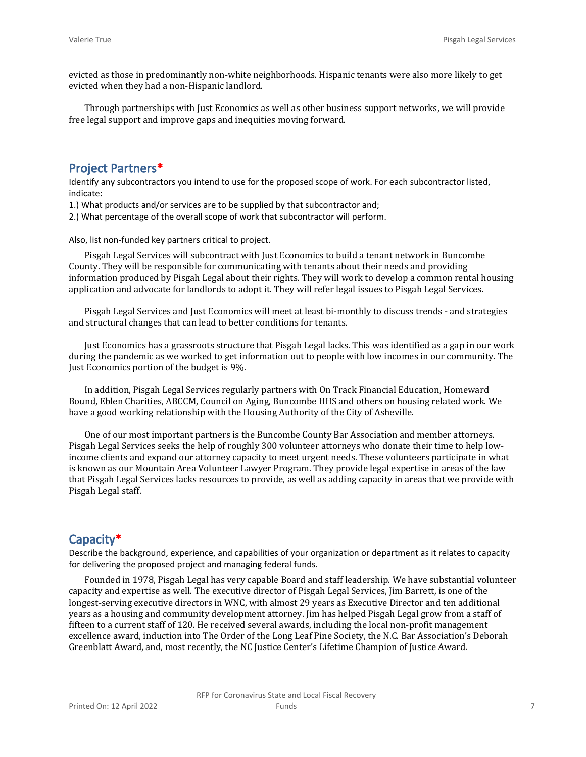evicted as those in predominantly non-white neighborhoods. Hispanic tenants were also more likely to get evicted when they had a non-Hispanic landlord.

Through partnerships with Just Economics as well as other business support networks, we will provide free legal support and improve gaps and inequities moving forward.

## **Project Partners\***

Identify any subcontractors you intend to use for the proposed scope of work. For each subcontractor listed, indicate:

1.) What products and/or services are to be supplied by that subcontractor and;

2.) What percentage of the overall scope of work that subcontractor will perform.

Also, list non-funded key partners critical to project.

Pisgah Legal Services will subcontract with Just Economics to build a tenant network in Buncombe County. They will be responsible for communicating with tenants about their needs and providing information produced by Pisgah Legal about their rights. They will work to develop a common rental housing application and advocate for landlords to adopt it. They will refer legal issues to Pisgah Legal Services.

Pisgah Legal Services and Just Economics will meet at least bi-monthly to discuss trends - and strategies and structural changes that can lead to better conditions for tenants.

Just Economics has a grassroots structure that Pisgah Legal lacks. This was identified as a gap in our work during the pandemic as we worked to get information out to people with low incomes in our community. The Just Economics portion of the budget is 9%.

In addition, Pisgah Legal Services regularly partners with On Track Financial Education, Homeward Bound, Eblen Charities, ABCCM, Council on Aging, Buncombe HHS and others on housing related work. We have a good working relationship with the Housing Authority of the City of Asheville.

One of our most important partners is the Buncombe County Bar Association and member attorneys. Pisgah Legal Services seeks the help of roughly 300 volunteer attorneys who donate their time to help lowincome clients and expand our attorney capacity to meet urgent needs. These volunteers participate in what is known as our Mountain Area Volunteer Lawyer Program. They provide legal expertise in areas of the law that Pisgah Legal Services lacks resources to provide, as well as adding capacity in areas that we provide with Pisgah Legal staff.

## **Capacity\***

Describe the background, experience, and capabilities of your organization or department as it relates to capacity for delivering the proposed project and managing federal funds.

Founded in 1978, Pisgah Legal has very capable Board and staff leadership. We have substantial volunteer capacity and expertise as well. The executive director of Pisgah Legal Services, Jim Barrett, is one of the longest-serving executive directors in WNC, with almost 29 years as Executive Director and ten additional years as a housing and community development attorney. Jim has helped Pisgah Legal grow from a staff of fifteen to a current staff of 120. He received several awards, including the local non-profit management excellence award, induction into The Order of the Long Leaf Pine Society, the N.C. Bar Association's Deborah Greenblatt Award, and, most recently, the NC Justice Center's Lifetime Champion of Justice Award.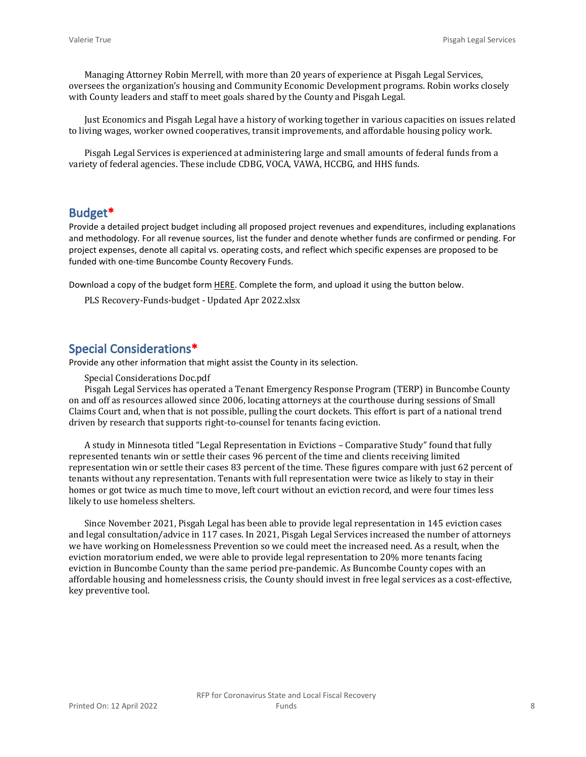Managing Attorney Robin Merrell, with more than 20 years of experience at Pisgah Legal Services, oversees the organization's housing and Community Economic Development programs. Robin works closely with County leaders and staff to meet goals shared by the County and Pisgah Legal.

Just Economics and Pisgah Legal have a history of working together in various capacities on issues related to living wages, worker owned cooperatives, transit improvements, and affordable housing policy work.

Pisgah Legal Services is experienced at administering large and small amounts of federal funds from a variety of federal agencies. These include CDBG, VOCA, VAWA, HCCBG, and HHS funds.

## **Budget\***

Provide a detailed project budget including all proposed project revenues and expenditures, including explanations and methodology. For all revenue sources, list the funder and denote whether funds are confirmed or pending. For project expenses, denote all capital vs. operating costs, and reflect which specific expenses are proposed to be funded with one-time Buncombe County Recovery Funds.

Download a copy of the budget form [HERE](https://buncombecounty.org/common/community-investment/grants/early-childhood-education/Recovery-Funds-budget-template.xlsx). Complete the form, and upload it using the button below.

PLS Recovery-Funds-budget - Updated Apr 2022.xlsx

## **Special Considerations\***

Provide any other information that might assist the County in its selection.

Special Considerations Doc.pdf

Pisgah Legal Services has operated a Tenant Emergency Response Program (TERP) in Buncombe County on and off as resources allowed since 2006, locating attorneys at the courthouse during sessions of Small Claims Court and, when that is not possible, pulling the court dockets. This effort is part of a national trend driven by research that supports right-to-counsel for tenants facing eviction.

A study in Minnesota titled "Legal Representation in Evictions – Comparative Study" found that fully represented tenants win or settle their cases 96 percent of the time and clients receiving limited representation win or settle their cases 83 percent of the time. These figures compare with just 62 percent of tenants without any representation. Tenants with full representation were twice as likely to stay in their homes or got twice as much time to move, left court without an eviction record, and were four times less likely to use homeless shelters.

Since November 2021, Pisgah Legal has been able to provide legal representation in 145 eviction cases and legal consultation/advice in 117 cases. In 2021, Pisgah Legal Services increased the number of attorneys we have working on Homelessness Prevention so we could meet the increased need. As a result, when the eviction moratorium ended, we were able to provide legal representation to 20% more tenants facing eviction in Buncombe County than the same period pre-pandemic. As Buncombe County copes with an affordable housing and homelessness crisis, the County should invest in free legal services as a cost-effective, key preventive tool.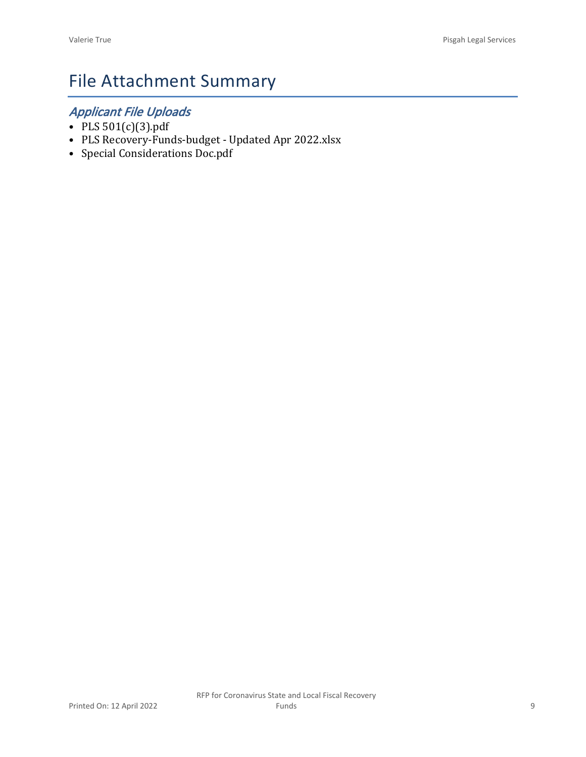## File Attachment Summary

## *Applicant File Uploads*

- PLS 501(c)(3).pdf
- PLS Recovery-Funds-budget Updated Apr 2022.xlsx
- Special Considerations Doc.pdf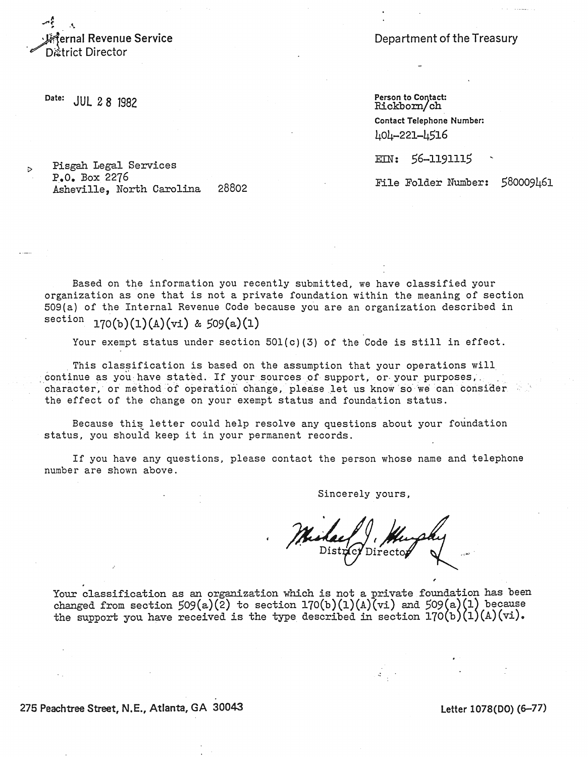ernal Revenue Service District Director

Department of the Treasury

Date: **JUL 28 1982** 

 $\triangleright$ 

Person to Contact:<br>Rickborn/ch Contact Telephone Number: 404-221-4516

EIN: 56-1191115

File Folder Number: 580009461

Pisgah Legal Services  $P_{\bullet}0_{\bullet}$  Box 2276 Asheville, North Carolina 28802

Based on the information you recently submitted, we have classified your organization as one that is not a private foundation within the meaning of section 509(a) of the Internal Revenue Code because you are an organization described in section  $170(b)(1)(A)(vi)$  & 509(a)(1)

Your exempt status under section 501(c)(3) of the Code is still in effect.

This classification is based on the assumption that your operations will continue as you have stated. If your sources of support, or your purposes, character, or method of operation change, please let us know so we can consider  $\sim$ the effect of the change on your exempt status and foundation status.

Because this letter could help resolve any questions about your foundation status, you should keep it in your permanent records.

If you have any questions, please contact the person whose name and telephone number are shown above.

Sincerely yours,

Your classification as an organization which is not a private foundation has been changed from section  $509(a)(2)$  to section 170(b)(1)(A)(vi) and  $509(a)(1)$  because the support you have received is the type described in section  $170(b)(1)(A)(vi)$ .

275 Peachtree Street, N.E., Atlanta, GA 30043

Letter 1078(DO) (6–77)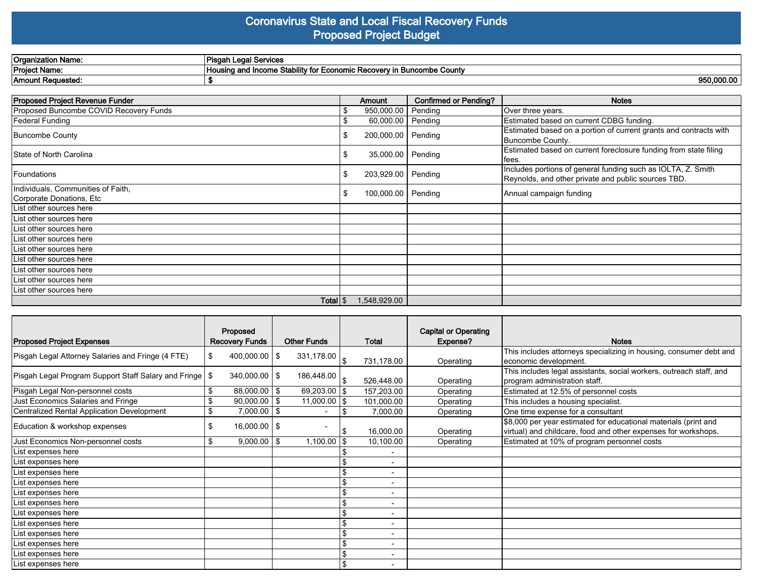## **Coronavirus State and Local Fiscal Recovery Funds Proposed Project Budget**

| <b>Organization Name:</b> | l Services<br>`Pisgah Legar                                                                                     |
|---------------------------|-----------------------------------------------------------------------------------------------------------------|
| <b>Project Name:</b>      | "v in Buncombe County"<br>↑ Stabilitv<br><b>Housing and Income</b><br>' tor<br>. Economic Recovery <sup>*</sup> |
| Amount Reauested:         | 950,000.00                                                                                                      |

| <b>Proposed Project Revenue Funder</b>                         |   | Amount              | <b>Confirmed or Pending?</b> | <b>Notes</b>                                                                                                        |
|----------------------------------------------------------------|---|---------------------|------------------------------|---------------------------------------------------------------------------------------------------------------------|
| Proposed Buncombe COVID Recovery Funds                         |   | 950,000.00          | Pending                      | Over three years.                                                                                                   |
| Federal Funding                                                |   | 60,000.00           | Pending                      | Estimated based on current CDBG funding.                                                                            |
| Buncombe County                                                |   | 200,000.00          | Pending                      | Estimated based on a portion of current grants and contracts with<br>Buncombe County.                               |
| State of North Carolina                                        |   | 35,000.00   Pending |                              | Estimated based on current foreclosure funding from state filing<br>fees.                                           |
| Foundations                                                    |   | 203,929.00          | Pending                      | Includes portions of general funding such as IOLTA, Z. Smith<br>Reynolds, and other private and public sources TBD. |
| Individuals, Communities of Faith,<br>Corporate Donations, Etc | S | 100,000.00          | Pending                      | Annual campaign funding                                                                                             |
| List other sources here                                        |   |                     |                              |                                                                                                                     |
| List other sources here                                        |   |                     |                              |                                                                                                                     |
| List other sources here                                        |   |                     |                              |                                                                                                                     |
| List other sources here                                        |   |                     |                              |                                                                                                                     |
| List other sources here                                        |   |                     |                              |                                                                                                                     |
| List other sources here                                        |   |                     |                              |                                                                                                                     |
| List other sources here                                        |   |                     |                              |                                                                                                                     |
| List other sources here                                        |   |                     |                              |                                                                                                                     |
| List other sources here                                        |   |                     |                              |                                                                                                                     |
| Total S                                                        |   | 1,548,929.00        |                              |                                                                                                                     |

|                                                           | Proposed              |                   |                    |                          | <b>Capital or Operating</b> |                                                                                                                                   |
|-----------------------------------------------------------|-----------------------|-------------------|--------------------|--------------------------|-----------------------------|-----------------------------------------------------------------------------------------------------------------------------------|
| <b>Proposed Project Expenses</b>                          | <b>Recovery Funds</b> |                   | <b>Other Funds</b> | <b>Total</b>             | Expense?                    | <b>Notes</b>                                                                                                                      |
| Pisgah Legal Attorney Salaries and Fringe (4 FTE)         | \$                    | $400,000.00$   \$ | 331,178.00         | 731,178.00               | Operating                   | This includes attorneys specializing in housing, consumer debt and<br>economic development.                                       |
| Pisgah Legal Program Support Staff Salary and Fringe   \$ |                       | $340,000.00$   \$ | 186,448.00         | 526,448.00               | Operating                   | This includes legal assistants, social workers, outreach staff, and<br>program administration staff.                              |
| Pisgah Legal Non-personnel costs                          | \$                    | $88,000.00$   \$  | $69,203.00$ \\$    | 157,203.00               | Operating                   | Estimated at 12.5% of personnel costs                                                                                             |
| Just Economics Salaries and Fringe                        | \$                    | $90,000.00$   \$  | $11,000.00$ S      | 101,000.00               | Operating                   | This includes a housing specialist.                                                                                               |
| Centralized Rental Application Development                | \$                    | $7,000.00$   \$   |                    | 7,000.00                 | Operating                   | One time expense for a consultant                                                                                                 |
| Education & workshop expenses                             | \$                    | $16,000.00$   \$  |                    | 16,000.00                | Operating                   | \$8,000 per year estimated for educational materials (print and<br>virtual) and childcare, food and other expenses for workshops. |
| Just Economics Non-personnel costs                        | \$                    | $9,000.00$   \$   | $1,100.00$ \\$     | 10,100.00                | Operating                   | Estimated at 10% of program personnel costs                                                                                       |
| List expenses here                                        |                       |                   |                    |                          |                             |                                                                                                                                   |
| List expenses here                                        |                       |                   |                    |                          |                             |                                                                                                                                   |
| List expenses here                                        |                       |                   |                    | $\overline{a}$           |                             |                                                                                                                                   |
| List expenses here                                        |                       |                   |                    | $\overline{\phantom{a}}$ |                             |                                                                                                                                   |
| List expenses here                                        |                       |                   |                    | $\overline{\phantom{a}}$ |                             |                                                                                                                                   |
| List expenses here                                        |                       |                   |                    | $\overline{\phantom{a}}$ |                             |                                                                                                                                   |
| List expenses here                                        |                       |                   |                    | $\overline{\phantom{0}}$ |                             |                                                                                                                                   |
| List expenses here                                        |                       |                   |                    |                          |                             |                                                                                                                                   |
| List expenses here                                        |                       |                   |                    | $\overline{\phantom{a}}$ |                             |                                                                                                                                   |
| List expenses here                                        |                       |                   |                    | $\overline{\phantom{a}}$ |                             |                                                                                                                                   |
| List expenses here                                        |                       |                   |                    | $\overline{\phantom{0}}$ |                             |                                                                                                                                   |
| List expenses here                                        |                       |                   |                    |                          |                             |                                                                                                                                   |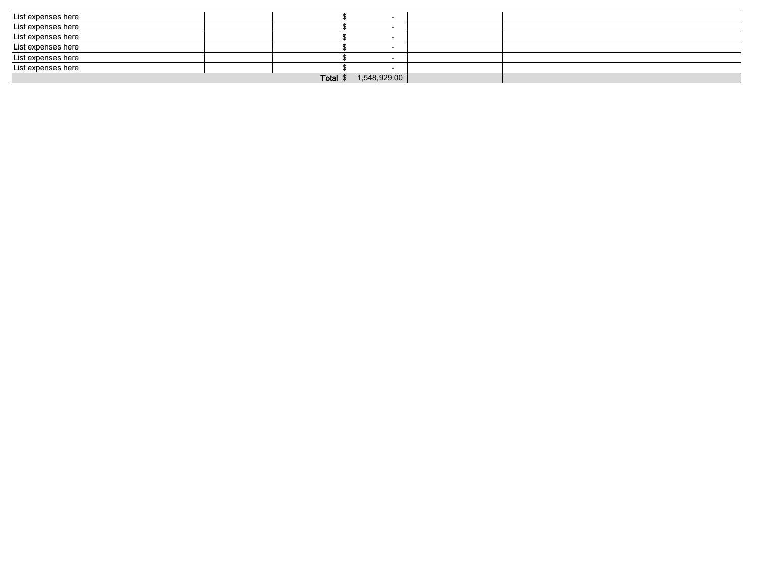| List expenses here |  |  |  |  |  |
|--------------------|--|--|--|--|--|
| List expenses here |  |  |  |  |  |
| List expenses here |  |  |  |  |  |
| List expenses here |  |  |  |  |  |
| List expenses here |  |  |  |  |  |
| List expenses here |  |  |  |  |  |
| <b>Total</b>       |  |  |  |  |  |